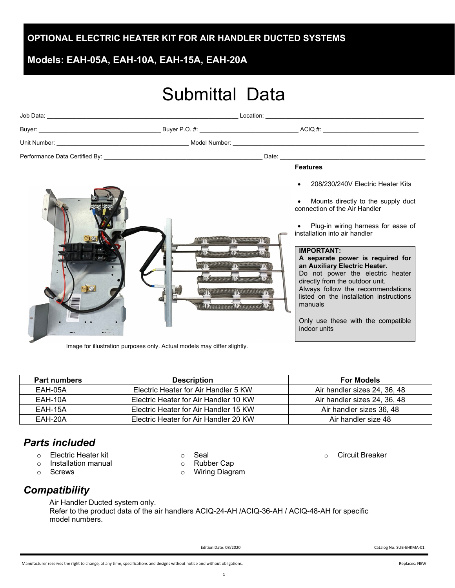### **OPTIONAL ELECTRIC HEATER KIT FOR AIR HANDLER DUCTED SYSTEMS**

# **Models: EAH-05A, EAH-10A, EAH-15A, EAH-20A**

# Submittal Data

|                                                                                                                                                                                                                                                                                                                                        |  | <b>Features</b>                                                                                                                                                                                                                                                                                                                                                                                                                                                                                   |  |
|----------------------------------------------------------------------------------------------------------------------------------------------------------------------------------------------------------------------------------------------------------------------------------------------------------------------------------------|--|---------------------------------------------------------------------------------------------------------------------------------------------------------------------------------------------------------------------------------------------------------------------------------------------------------------------------------------------------------------------------------------------------------------------------------------------------------------------------------------------------|--|
| 12 Thomas MA<br><b>Committee Control Committee And Constitution Control Constitution Constitution Constitution Constitution Constitution Constitution Constitution Constitution Constitution Constitution Constitution Constitution Constitution</b><br>MARINE CARDINAL<br>Kansas Kansas J<br><b>LA COMMUNICATION DE AUTOCOMPONENT</b> |  | 208/230/240V Electric Heater Kits<br>Mounts directly to the supply duct<br>connection of the Air Handler<br>Plug-in wiring harness for ease of<br>installation into air handler<br><b>IMPORTANT:</b><br>A separate power is required for<br>an Auxiliary Electric Heater.<br>Do not power the electric heater<br>directly from the outdoor unit.<br>Always follow the recommendations<br>listed on the installation instructions<br>manuals<br>Only use these with the compatible<br>indoor units |  |

Image for illustration purposes only. Actual models may differ slightly.

#### **Part numbers Description For Models** EAH-05A Electric Heater for Air Handler 5 KW Air handler sizes 24, 36, 48 EAH-10A Electric Heater for Air Handler 10 KW Air handler sizes 24, 36, 48 EAH-15A Electric Heater for Air Handler 15 KW Air handler sizes 36, 48 EAH-20A Electric Heater for Air Handler 20 KW Air handler size 48

# *Parts included*

- o Electric Heater kit
- $\circ$  Installation manual<br> $\circ$  Screws
- **Screws**
- o Seal
	-
- o Rubber Cap<br>○ Wiring Diagr **Wiring Diagram**

o Circuit Breaker

# *Compatibility*

Air Handler Ducted system only. Refer to the product data of the air handlers ACIQ-24-AH /ACIQ-36-AH / ACIQ-48-AH for specific model numbers.

Edition Date: 08/2020 Catalog No: SUB-EHKMA-01